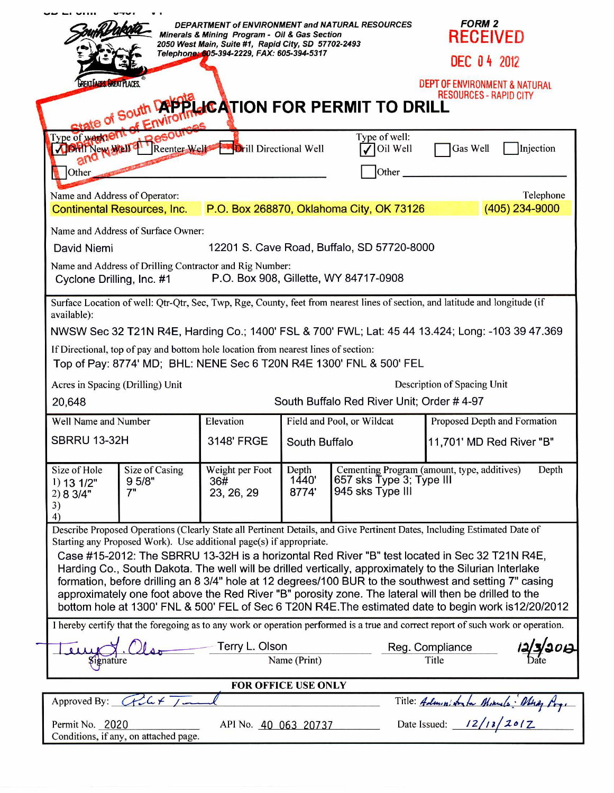| DEPARTMENT of ENVIRONMENT and NATURAL RESOURCES<br>Minerals & Mining Program - Oil & Gas Section<br>2050 West Main, Suite #1, Rapid City, SD 57702-2493<br>Telephone: 605-394-2229, FAX: 605-394-5317<br><b>GREAT APPS GREAT PLACES</b><br>State of South Depthic ATION FOR PERMIT TO DRILL<br>of Enviror                                                                                                                                                                                                                                                                                                                                                                                                                                |                                  |                                      |                                             |                                          |                                                                                  | <b>RECEIVED</b><br><b>DEC 04 2012</b><br>DEPT OF ENVIRONMENT & NATURAL<br><b>RESOURCES - RAPID CITY</b> |  |
|------------------------------------------------------------------------------------------------------------------------------------------------------------------------------------------------------------------------------------------------------------------------------------------------------------------------------------------------------------------------------------------------------------------------------------------------------------------------------------------------------------------------------------------------------------------------------------------------------------------------------------------------------------------------------------------------------------------------------------------|----------------------------------|--------------------------------------|---------------------------------------------|------------------------------------------|----------------------------------------------------------------------------------|---------------------------------------------------------------------------------------------------------|--|
| Type of warnent<br><b>Video of weather the Resource of Arill Directional Well</b><br>800<br><b>Other</b>                                                                                                                                                                                                                                                                                                                                                                                                                                                                                                                                                                                                                                 |                                  |                                      |                                             | Type of well:<br>Oil Well<br>Other       | Gas Well<br>Injection                                                            |                                                                                                         |  |
| Name and Address of Operator:<br><b>Continental Resources, Inc.</b>                                                                                                                                                                                                                                                                                                                                                                                                                                                                                                                                                                                                                                                                      |                                  |                                      |                                             | P.O. Box 268870, Oklahoma City, OK 73126 |                                                                                  | Telephone<br>(405) 234-9000                                                                             |  |
| Name and Address of Surface Owner:<br>12201 S. Cave Road, Buffalo, SD 57720-8000<br>David Niemi<br>Name and Address of Drilling Contractor and Rig Number:<br>P.O. Box 908, Gillette, WY 84717-0908<br>Cyclone Drilling, Inc. #1                                                                                                                                                                                                                                                                                                                                                                                                                                                                                                         |                                  |                                      |                                             |                                          |                                                                                  |                                                                                                         |  |
| Surface Location of well: Qtr-Qtr, Sec, Twp, Rge, County, feet from nearest lines of section, and latitude and longitude (if<br>available):<br>NWSW Sec 32 T21N R4E, Harding Co.; 1400' FSL & 700' FWL; Lat: 45 44 13.424; Long: -103 39 47.369<br>If Directional, top of pay and bottom hole location from nearest lines of section:<br>Top of Pay: 8774' MD; BHL: NENE Sec 6 T20N R4E 1300' FNL & 500' FEL                                                                                                                                                                                                                                                                                                                             |                                  |                                      |                                             |                                          |                                                                                  |                                                                                                         |  |
|                                                                                                                                                                                                                                                                                                                                                                                                                                                                                                                                                                                                                                                                                                                                          | Acres in Spacing (Drilling) Unit |                                      |                                             |                                          | Description of Spacing Unit                                                      |                                                                                                         |  |
| South Buffalo Red River Unit; Order #4-97<br>20,648                                                                                                                                                                                                                                                                                                                                                                                                                                                                                                                                                                                                                                                                                      |                                  |                                      |                                             |                                          |                                                                                  |                                                                                                         |  |
| Well Name and Number<br>SBRRU 13-32H                                                                                                                                                                                                                                                                                                                                                                                                                                                                                                                                                                                                                                                                                                     |                                  | Elevation<br>3148' FRGE              | Field and Pool, or Wildcat<br>South Buffalo |                                          | Proposed Depth and Formation<br>11,701' MD Red River "B"                         |                                                                                                         |  |
| Size of Hole<br>Size of Casing<br>9 5/8"<br>$1)$ 13 $1/2$ "<br>7"<br>2) 8 3/4"<br>3)<br>4)                                                                                                                                                                                                                                                                                                                                                                                                                                                                                                                                                                                                                                               |                                  | Weight per Foot<br>36#<br>23, 26, 29 | Depth<br>1440'<br>8774'                     | 945 sks Type III                         | Cementing Program (amount, type, additives)<br>Depth<br>657 sks Type 3; Type III |                                                                                                         |  |
| Describe Proposed Operations (Clearly State all Pertinent Details, and Give Pertinent Dates, Including Estimated Date of<br>Starting any Proposed Work). Use additional page(s) if appropriate.<br>Case #15-2012: The SBRRU 13-32H is a horizontal Red River "B" test located in Sec 32 T21N R4E,<br>Harding Co., South Dakota. The well will be drilled vertically, approximately to the Silurian Interlake<br>formation, before drilling an 8 3/4" hole at 12 degrees/100 BUR to the southwest and setting 7" casing<br>approximately one foot above the Red River "B" porosity zone. The lateral will then be drilled to the<br>bottom hole at 1300' FNL & 500' FEL of Sec 6 T20N R4E. The estimated date to begin work is 12/20/2012 |                                  |                                      |                                             |                                          |                                                                                  |                                                                                                         |  |
| I hereby certify that the foregoing as to any work or operation performed is a true and correct report of such work or operation.<br>Terry L. Olson<br>Reg. Compliance<br>Name (Print)<br>Title<br>Signature                                                                                                                                                                                                                                                                                                                                                                                                                                                                                                                             |                                  |                                      |                                             |                                          |                                                                                  |                                                                                                         |  |
| FOR OFFICE USE ONLY                                                                                                                                                                                                                                                                                                                                                                                                                                                                                                                                                                                                                                                                                                                      |                                  |                                      |                                             |                                          |                                                                                  |                                                                                                         |  |
| Approved By: $GCL + 1 -$                                                                                                                                                                                                                                                                                                                                                                                                                                                                                                                                                                                                                                                                                                                 |                                  |                                      |                                             |                                          |                                                                                  |                                                                                                         |  |
| Title: Administrator Minuals Many Prys<br>Permit No. 2020<br>API No. 40 063 20737<br>Conditions, if any, on attached page.                                                                                                                                                                                                                                                                                                                                                                                                                                                                                                                                                                                                               |                                  |                                      |                                             |                                          |                                                                                  |                                                                                                         |  |